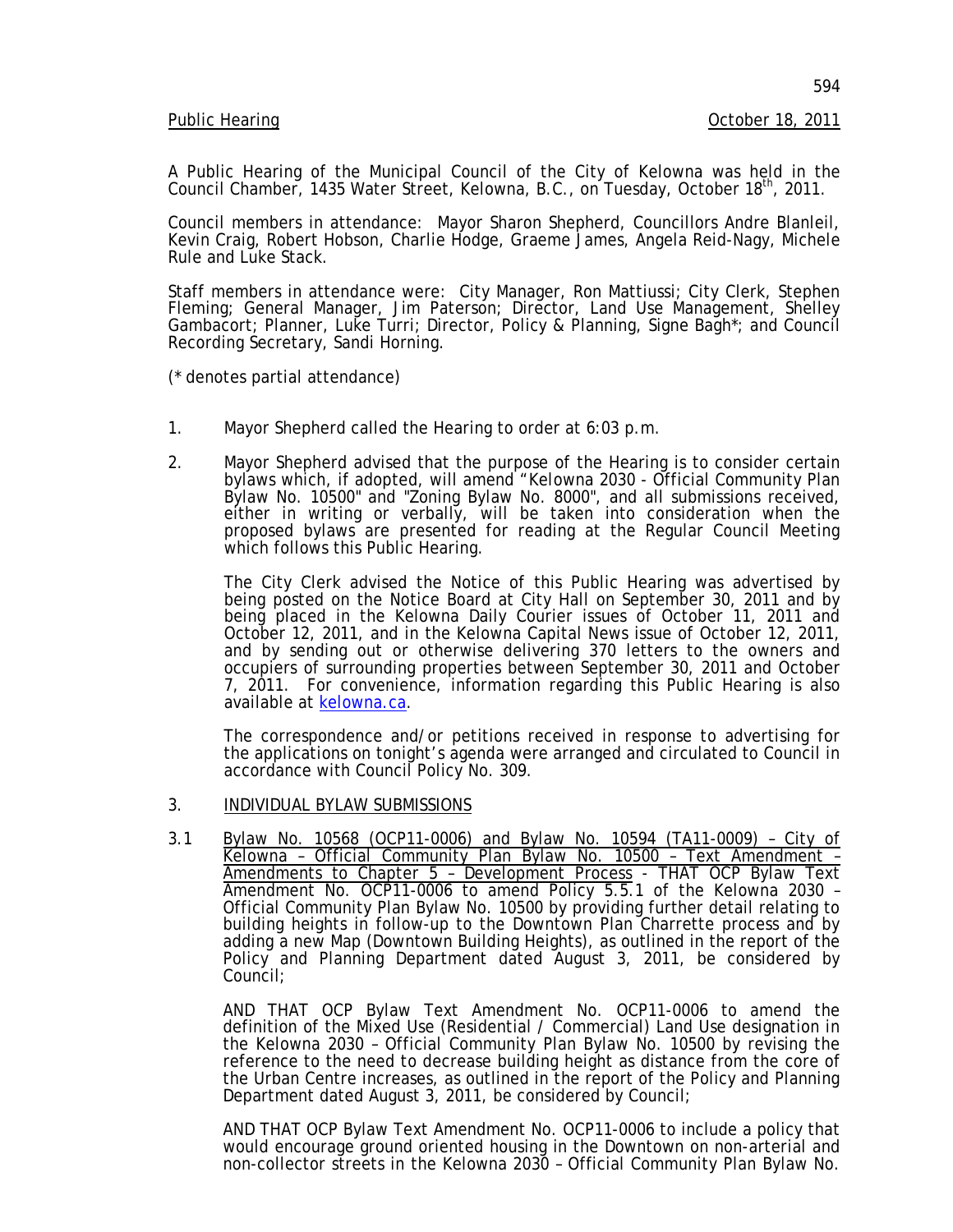A Public Hearing of the Municipal Council of the City of Kelowna was held in the Council Chamber, 1435 Water Street, Kelowna, B.C., on Tuesday, October 18<sup>th</sup>, 2011.

Council members in attendance: Mayor Sharon Shepherd, Councillors Andre Blanleil, Kevin Craig, Robert Hobson, Charlie Hodge, Graeme James, Angela Reid-Nagy, Michele Rule and Luke Stack.

Staff members in attendance were: City Manager, Ron Mattiussi; City Clerk, Stephen Fleming; General Manager, Jim Paterson; Director, Land Use Management, Shelley Gambacort; Planner, Luke Turri; Director, Policy & Planning, Signe Bagh\*; and Council Recording Secretary, Sandi Horning.

(\* denotes partial attendance)

- 1. Mayor Shepherd called the Hearing to order at 6:03 p.m.
- 2. Mayor Shepherd advised that the purpose of the Hearing is to consider certain bylaws which, if adopted, will amend "*Kelowna 2030* - Official Community Plan Bylaw No. 10500" and "Zoning Bylaw No. 8000", and all submissions received, either in writing or verbally, will be taken into consideration when the proposed bylaws are presented for reading at the Regular Council Meeting which follows this Public Hearing.

The City Clerk advised the Notice of this Public Hearing was advertised by being posted on the Notice Board at City Hall on September 30, 2011 and by being placed in the Kelowna Daily Courier issues of October 11, 2011 and<br>October 12, 2011, and in the Kelowna Capital News issue of October 12, 2011, October 12, 2011, and in the Kelowna Capital News issue of October 12, 2011,<br>and by sending out or otherwise delivering 370 letters to the owners and occupiers of surrounding properties between September 30, 2011 and October 7, 2011. For convenience, information regarding this Public Hearing is also available at [kelowna.ca.](http://www.kelowna.ca/)

The correspondence and/or petitions received in response to advertising for the applications on tonight's agenda were arranged and circulated to Council in accordance with Council Policy No. 309.

- 3. INDIVIDUAL BYLAW SUBMISSIONS
- 3.1 Bylaw No. 10568 (OCP11-0006) and Bylaw No. 10594 (TA11-0009) City of Kelowna – Official Community Plan Bylaw No. 10500 – Text Amendment – Amendments to Chapter 5 – Development Process - THAT OCP Bylaw Text Amendment No. OCP11-0006 to amend Policy 5.5.1 of the Kelowna 2030 – Official Community Plan Bylaw No. 10500 by providing further detail relating to adding a new Map (Downtown Building Heights), as outlined in the report of the Policy and Planning Department dated August 3, 2011, be considered by Council;

AND THAT OCP Bylaw Text Amendment No. OCP11-0006 to amend the definition of the Mixed Use (Residential / Commercial) Land Use designation in the Kelowna 2030 – Official Community Plan Bylaw No. 10500 by revising the reference to the need to decrease building height as distance from the core of the Urban Centre increases, as outlined in the report of the Policy and Planning Department dated August 3, 2011, be considered by Council;

AND THAT OCP Bylaw Text Amendment No. OCP11-0006 to include a policy that would encourage ground oriented housing in the Downtown on non-arterial and non-collector streets in the Kelowna 2030 – Official Community Plan Bylaw No.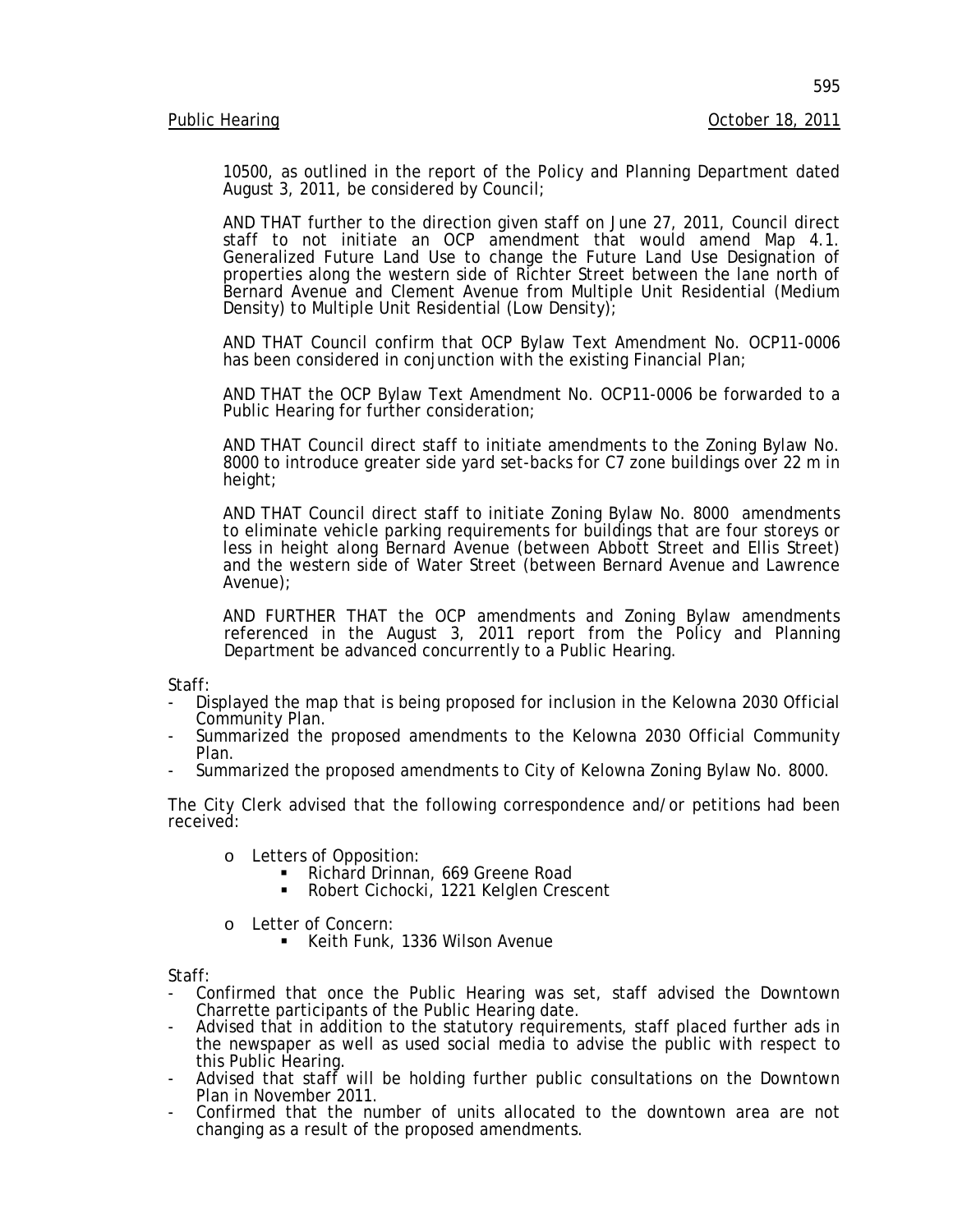10500, as outlined in the report of the Policy and Planning Department dated August 3, 2011, be considered by Council;

AND THAT further to the direction given staff on June 27, 2011, Council direct staff to not initiate an OCP amendment that would amend Map 4.1. Generalized Future Land Use to change the Future Land Use Designation of properties along the western side of Richter Street between the lane north of Bernard Avenue and Clement Avenue from Multiple Unit Residential (Medium Density) to Multiple Unit Residential (Low Density);

AND THAT Council confirm that OCP Bylaw Text Amendment No. OCP11-0006 has been considered in conjunction with the existing Financial Plan;

AND THAT the OCP Bylaw Text Amendment No. OCP11-0006 be forwarded to a Public Hearing for further consideration;

AND THAT Council direct staff to initiate amendments to the Zoning Bylaw No. 8000 to introduce greater side yard set-backs for C7 zone buildings over 22 m in height;

AND THAT Council direct staff to initiate Zoning Bylaw No. 8000 amendments to eliminate vehicle parking requirements for buildings that are four storeys or less in height along Bernard Avenue (between Abbott Street and Ellis Street) and the western side of Water Street (between Bernard Avenue and Lawrence Avenue);

AND FURTHER THAT the OCP amendments and Zoning Bylaw amendments referenced in the August 3, 2011 report from the Policy and Planning Department be advanced concurrently to a Public Hearing.

Staff:

- Displayed the map that is being proposed for inclusion in the Kelowna 2030 Official Community Plan.
- Summarized the proposed amendments to the Kelowna 2030 Official Community Plan.
- Summarized the proposed amendments to City of Kelowna Zoning Bylaw No. 8000.

The City Clerk advised that the following correspondence and/or petitions had been received:

- -
- o Letters of Opposition:<br> Richard Drinnan, 669 Greene Road<br> Robert Cichocki, 1221 Kelglen Crescent
- 

<sup>o</sup> Letter of Concern: Keith Funk, 1336 Wilson Avenue

Staff:

- Confirmed that once the Public Hearing was set, staff advised the Downtown Charrette participants of the Public Hearing date.
- Advised that in addition to the statutory requirements, staff placed further ads in the newspaper as well as used social media to advise the public with respect to
- Advised that staff will be holding further public consultations on the Downtown Plan in November 2011.
- Confirmed that the number of units allocated to the downtown area are not changing as a result of the proposed amendments.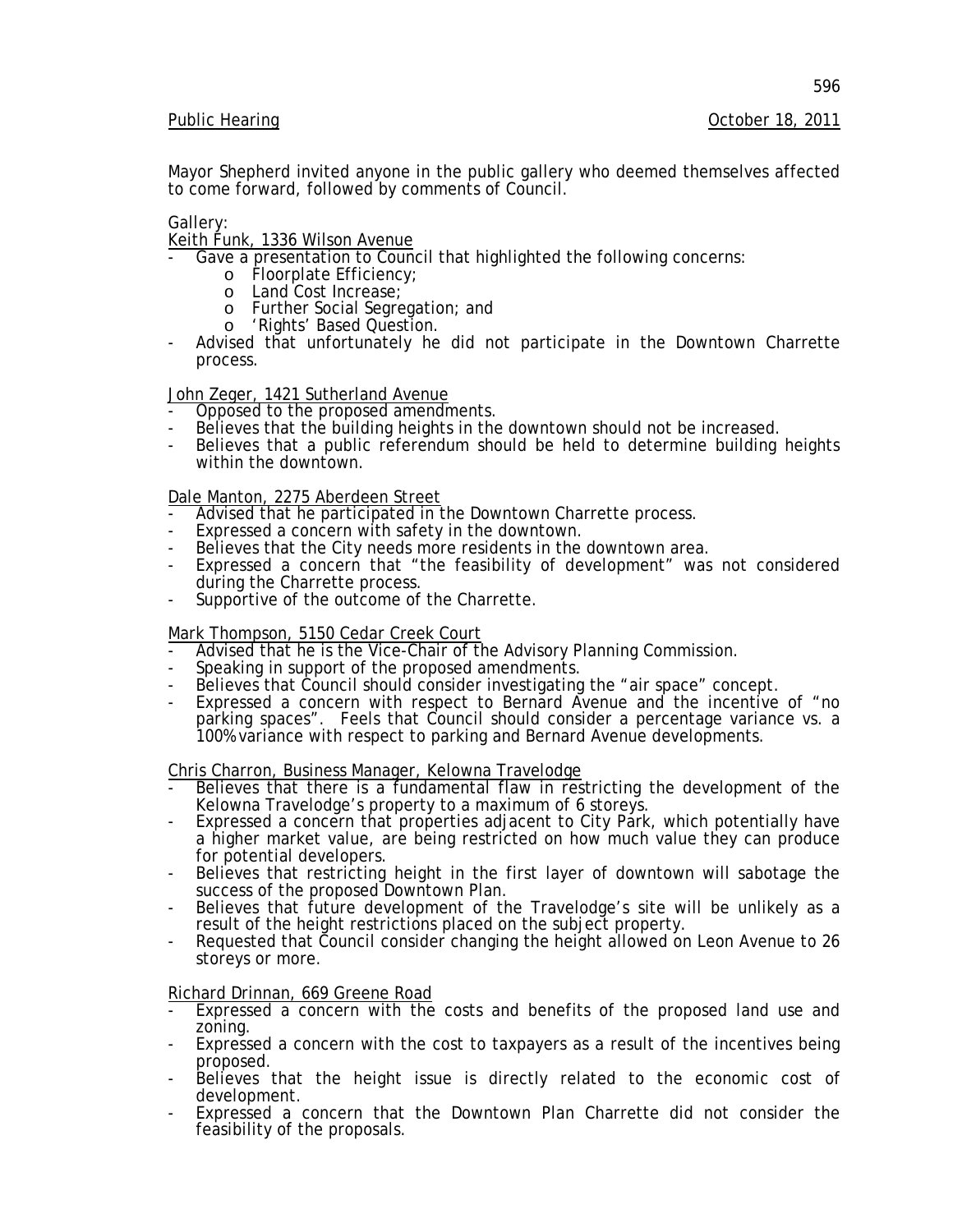Mayor Shepherd invited anyone in the public gallery who deemed themselves affected to come forward, followed by comments of Council.

Gallery:

# Keith Funk, 1336 Wilson Avenue

- Gave a presentation to Council that highlighted the following concerns:
	- o Floorplate Efficiency;
	- o Land Cost Increase;
	- o Further Social Segregation; and<br>o 'Rights' Based Question.
	-
- Advised that unfortunately he did not participate in the Downtown Charrette process.

- John Zeger, 1421 Sutherland Avenue<br>- Opposed to the proposed amendments.
- 
- Believes that the building heights in the downtown should not be increased.<br>Believes that a public referendum should be held to determine building heights within the downtown.

## Dale Manton, 2275 Aberdeen Street

- Advised that he participated in the Downtown Charrette process.<br>Expressed a concern with safety in the downtown.
- 
- Believes that the City needs more residents in the downtown area.
- Expressed a concern that "the feasibility of development" was not considered during the Charrette process.
- Supportive of the outcome of the Charrette.

### Mark Thompson, 5150 Cedar Creek Court

- Advised that he is the Vice-Chair of the Advisory Planning Commission.<br>Speaking in support of the proposed amendments.
- 
- Believes that Council should consider investigating the "air space" concept.
- Expressed a concern with respect to Bernard Avenue and the incentive of "no parking spaces". Feels that Council should consider a percentage variance vs. a 100% variance with respect to parking and Bernard Avenue developments.

- Chris Charron, Business Manager, Kelowna Travelodge<br>- Believes that there is a fundamental flaw in restricting the development of the<br>Kelowna Travelodge's property to a maximum of 6 storeys.
- Expressed a concern that properties adjacent to City Park, which potentially have a higher market value, are being restricted on how much value they can produce for potential developers.
- Believes that restricting height in the first layer of downtown will sabotage the success of the proposed Downtown Plan.
- Believes that future development of the Travelodge's site will be unlikely as a result of the height restrictions placed on the subject property.
- Requested that Council consider changing the height allowed on Leon Avenue to 26 storeys or more.

Richard Drinnan, 669 Greene Road

- Expressed a concern with the costs and benefits of the proposed land use and zoning.
- Expressed a concern with the cost to taxpayers as a result of the incentives being
- proposed.<br>Believes that the height issue is directly related to the economic cost of development.
- Expressed a concern that the Downtown Plan Charrette did not consider the feasibility of the proposals.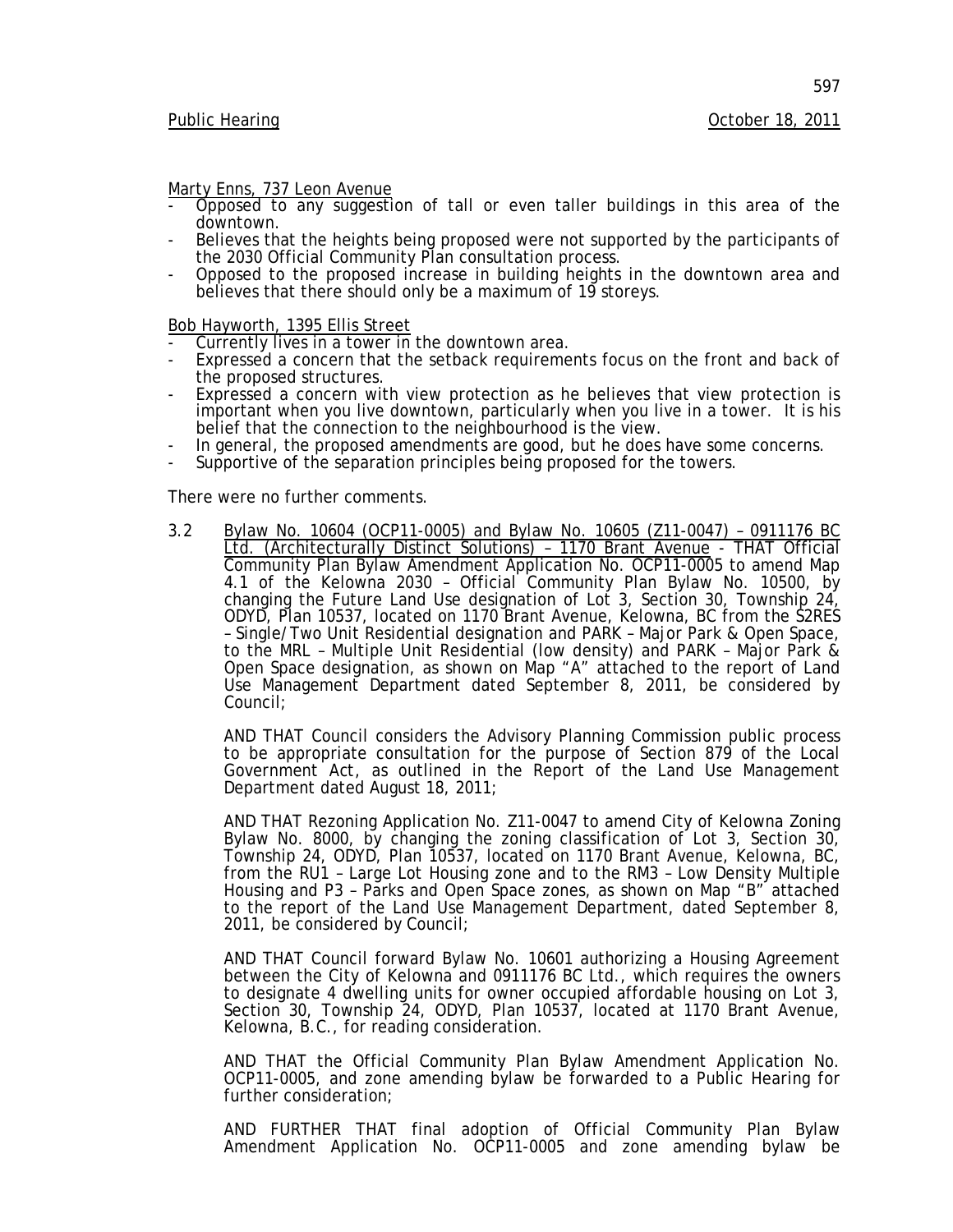597

- <u>Marty Enns, 737 Leon Avenue</u><br>- Opposed to any suggestion of tall or even taller buildings in this area of the<br>downtown.
- Believes that the heights being proposed were not supported by the participants of the 2030 Official Community Plan consultation process.
- Opposed to the proposed increase in building heights in the downtown area and believes that there should only be a maximum of 19 storeys.

Bob Hayworth, 1395 Ellis Street

- Currently lives in a tower in the downtown area.
- Expressed a concern that the setback requirements focus on the front and back of the proposed structures.
- Expressed a concern with view protection as he believes that view protection is important when you live downtown, particularly when you live in a tower. It is his belief that the connection to the neighbourhood is the view.
- In general, the proposed amendments are good, but he does have some concerns. Supportive of the separation principles being proposed for the towers.
- 

There were no further comments.

3.2 Bylaw No. 10604 (OCP11-0005) and Bylaw No. 10605 (Z11-0047) – 0911176 BC Ltd. (Architecturally Distinct Solutions) – 1170 Brant Avenue - THAT Official Community Plan Bylaw Amendment Application No. OCP11-0005 to amend Map 4.1 of the Kelowna 2030 – Official Community Plan Bylaw No. 10500, by changing the Future Land Use designation of Lot 3, Section 30, Township 24, ODYD, Plan 10537, located on 1170 Brant Avenue, Kelowna, BC from the S2RES – Single/Two Unit Residential designation and PARK – Major Park & Open Space, to the MRL – Multiple Unit Residential (low density) and PARK – Major Park & Open Space designation, as shown on Map "A" attached to the report of Land Use Management Department dated September 8, 2011, be considered by Council;

AND THAT Council considers the Advisory Planning Commission public process to be appropriate consultation for the purpose of Section 879 of the *Local Government Act*, as outlined in the Report of the Land Use Management Department dated August 18, 2011;

AND THAT Rezoning Application No. Z11-0047 to amend City of Kelowna Zoning Bylaw No. 8000, by changing the zoning classification of Lot 3, Section 30, Township 24, ODYD, Plan 10537, located on 1170 Brant Avenue, Kelowna, BC, from the RU1 – Large Lot Housing zone and to the RM3 – Low Density Multiple Housing and P3 – Parks and Open Space zones, as shown on Map "B" attached to the report of the Land Use Management Department, dated September 8, 2011, be considered by Council;

AND THAT Council forward Bylaw No. 10601 authorizing a Housing Agreement between the City of Kelowna and 0911176 BC Ltd., which requires the owners to designate 4 dwelling units for owner occupied affordable housing on Lot 3, Section 30, Township 24, ODYD, Plan 10537, located at 1170 Brant Avenue, Kelowna, B.C., for reading consideration.

AND THAT the Official Community Plan Bylaw Amendment Application No. OCP11-0005, and zone amending bylaw be forwarded to a Public Hearing for further consideration;

AND FURTHER THAT final adoption of Official Community Plan Bylaw Amendment Application No. OCP11-0005 and zone amending bylaw be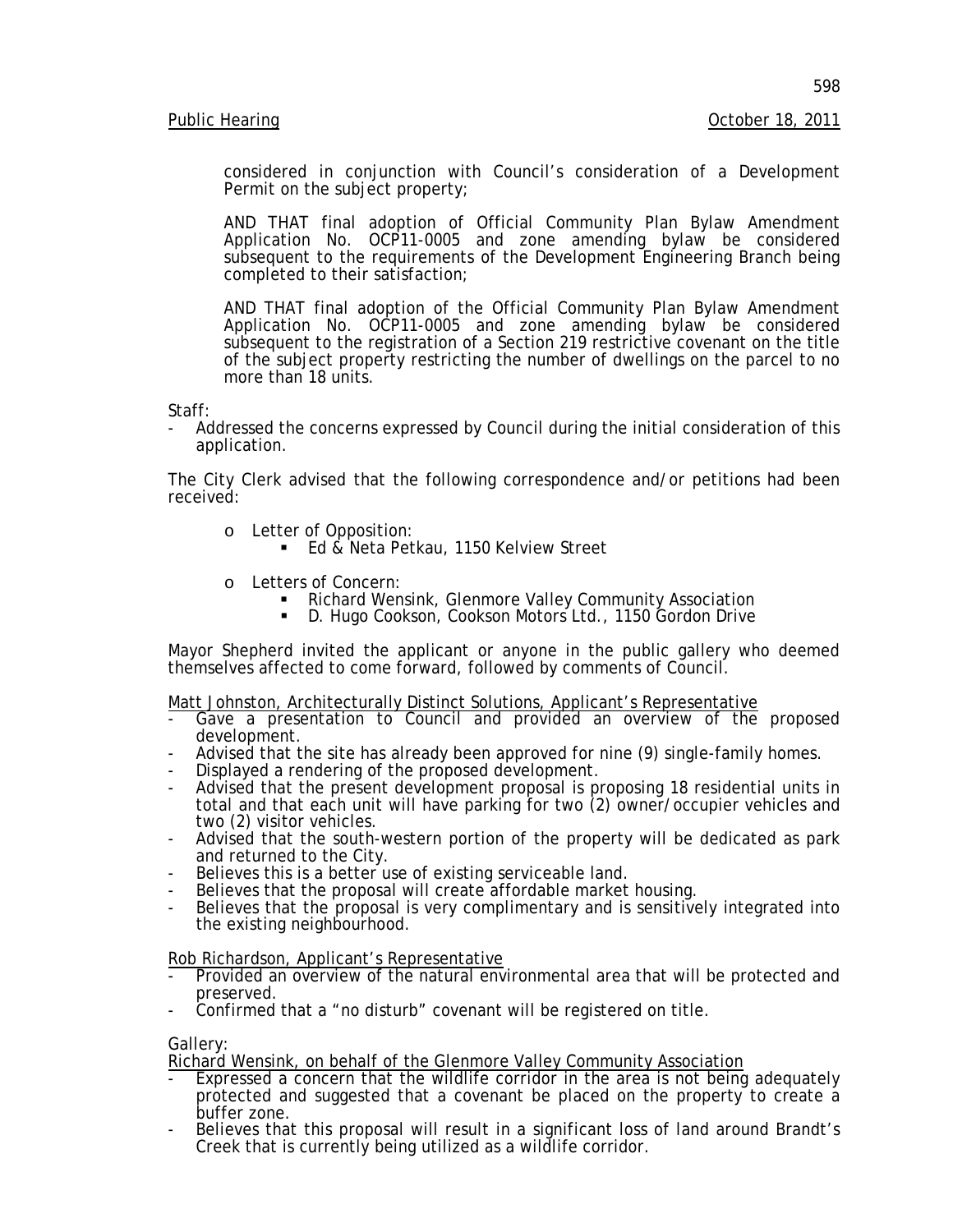considered in conjunction with Council's consideration of a Development Permit on the subject property;

AND THAT final adoption of Official Community Plan Bylaw Amendment Application No. OCP11-0005 and zone amending bylaw be considered subsequent to the requirements of the Development Engineering Branch being completed to their satisfaction;

AND THAT final adoption of the Official Community Plan Bylaw Amendment Application No. OCP11-0005 and zone amending bylaw be considered subsequent to the registration of a Section 219 restrictive covenant on the title of the subject property restricting the number of dwellings on the parcel to no more than 18 units.

Staff:

Addressed the concerns expressed by Council during the initial consideration of this application.

The City Clerk advised that the following correspondence and/or petitions had been received:

- o Letter of Opposition:
	- Ed & Neta Petkau, 1150 Kelview Street
- 
- <sup>o</sup> Letters of Concern: Richard Wensink, Glenmore Valley Community Association
	- D. Hugo Cookson, Cookson Motors Ltd., 1150 Gordon Drive

Mayor Shepherd invited the applicant or anyone in the public gallery who deemed themselves affected to come forward, followed by comments of Council.

Matt Johnston, Architecturally Distinct Solutions, Applicant's Representative

- Gave a presentation to Council and provided an overview of the proposed development.
- Advised that the site has already been approved for nine (9) single-family homes.<br>Displayed a rendering of the proposed development.
- 
- Displayed a rendering of the proposed development.<br>- Advised that the present development proposal is proposing 18 residential units in total and that each unit will have parking for two (2) owner/occupier vehicles and
- two (2) visitor vehicles.<br>Advised that the south-western portion of the property will be dedicated as park<br>and returned to the City.
- Believes this is a better use of existing serviceable land.<br>Believes that the proposal will create affordable market housing.
- 
- Believes that the proposal is very complimentary and is sensitively integrated into the existing neighbourhood.

Rob Richardson, Applicant's Representative

- Provided an overview of the natural environmental area that will be protected and preserved.
- Confirmed that a "no disturb" covenant will be registered on title.

Gallery:

Richard Wensink, on behalf of the Glenmore Valley Community Association

- Expressed a concern that the wildlife corridor in the area is not being adequately protected and suggested that a covenant be placed on the property to create a buffer zone.
- Believes that this proposal will result in a significant loss of land around Brandt's Creek that is currently being utilized as a wildlife corridor.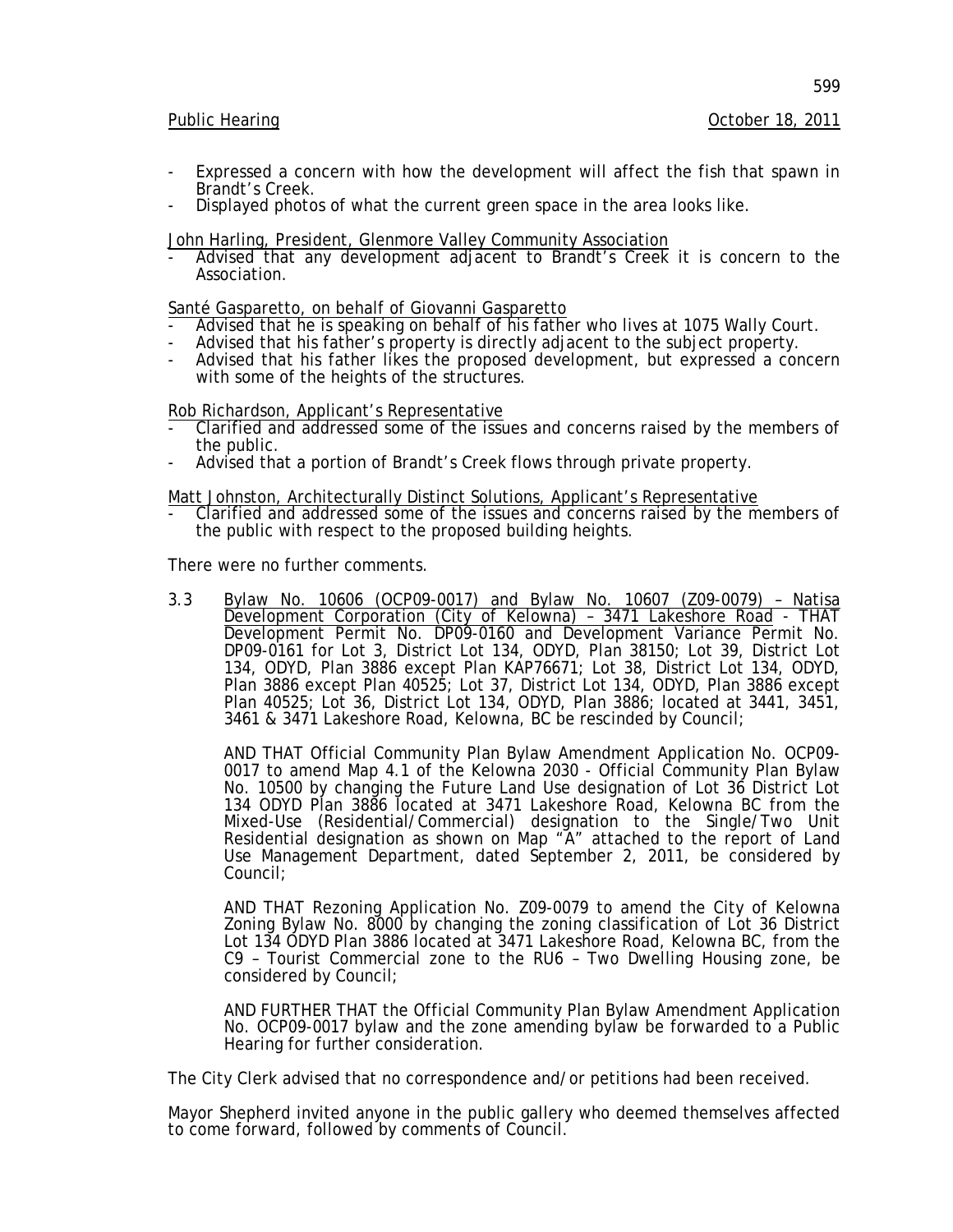#### Public Hearing **October 18, 2011**

599

- Expressed a concern with how the development will affect the fish that spawn in Brandt's Creek.
- Displayed photos of what the current green space in the area looks like.

John Harling, President, Glenmore Valley Community Association<br>- Advised that any development adjacent to Brandt's Creek it is concern to the Association.

- Santé Gasparetto, on behalf of Giovanni Gasparetto<br>- Advised that he is speaking on behalf of his father who lives at 1075 Wally Court.
- Advised that his father's property is directly adjacent to the subject property.
- Advised that his father likes the proposed development, but expressed a concern with some of the heights of the structures.

Rob Richardson, Applicant's Representative

- Clarified and addressed some of the issues and concerns raised by the members of the public.
- Advised that a portion of Brandt's Creek flows through private property.

#### Matt Johnston, Architecturally Distinct Solutions, Applicant's Representative

- Clarified and addressed some of the issues and concerns raised by the members of the public with respect to the proposed building heights.

There were no further comments.

3.3 Bylaw No. 10606 (OCP09-0017) and Bylaw No. 10607 (Z09-0079) – Natisa Development Corporation (City of Kelowna) – 3471 Lakeshore Road - THAT Development Permit No. DP09-0160 and Development Variance Permit No. DP09-0161 for Lot 3, District Lot 134, ODYD, Plan 38150; Lot 39, District Lot 134, ODYD, Plan 3886 except Plan KAP76671; Lot 38, District Lot 134, ODYD, Plan 3886 except Plan 40525; Lot 37, District Lot 134, ODYD, Plan 3886 except Plan 40525; Lot 36, District Lot 134, ODYD, Plan 3886; located at 3441, 3451, 3461 & 3471 Lakeshore Road, Kelowna, BC be rescinded by Council;

AND THAT Official Community Plan Bylaw Amendment Application No. OCP09-<br>0017 to amend Map 4.1 of the Kelowna 2030 - Official Community Plan Bylaw No. 10500 by changing the Future Land Use designation of Lot 36 District Lot 134 ODYD Plan 3886 located at 3471 Lakeshore Road, Kelowna BC from the Mixed-Use (Residential/Commercial) designation to the Single/Two Unit Residential designation as shown on Map "A" attached to the report of Land Use Management Department, dated September 2, 2011, be considered by Council;

AND THAT Rezoning Application No. Z09-0079 to amend the City of Kelowna Zoning Bylaw No. 8000 by changing the zoning classification of Lot 36 District Lot 134 ODYD Plan 3886 located at 3471 Lakeshore Road, Kelowna BC, from the C9 – Tourist Commercial zone to the RU6 – Two Dwelling Housing zone, be considered by Council;

AND FURTHER THAT the Official Community Plan Bylaw Amendment Application No. OCP09-0017 bylaw and the zone amending bylaw be forwarded to a Public Hearing for further consideration.

The City Clerk advised that no correspondence and/or petitions had been received.

Mayor Shepherd invited anyone in the public gallery who deemed themselves affected to come forward, followed by comments of Council.